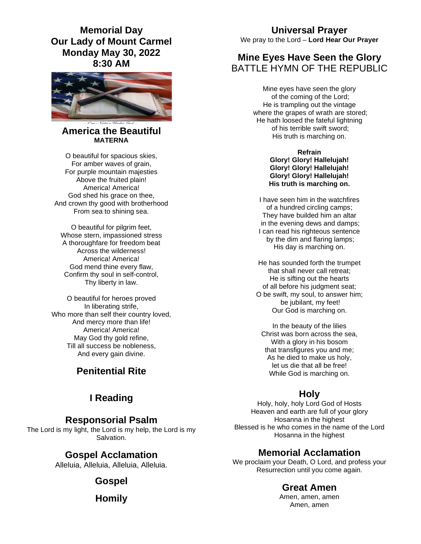**Memorial Day Our Lady of Mount Carmel Monday May 30, 2022 8:30 AM** 



#### **America the Beautiful MATERNA**

O beautiful for spacious skies, For amber waves of grain, For purple mountain majesties Above the fruited plain! America! America! God shed his grace on thee. And crown thy good with brotherhood From sea to shining sea.

O beautiful for pilgrim feet, Whose stern, impassioned stress A thoroughfare for freedom beat Across the wilderness! America! America! God mend thine every flaw, Confirm thy soul in self-control, Thy liberty in law.

O beautiful for heroes proved In liberating strife, Who more than self their country loved, And mercy more than life! America! America! May God thy gold refine, Till all success be nobleness, And every gain divine.

# **Penitential Rite**

# **I Reading**

#### **Responsorial Psalm**

The Lord is my light, the Lord is my help, the Lord is my Salvation.

## **Gospel Acclamation**

Alleluia, Alleluia, Alleluia, Alleluia.

## **Gospel**

**Homily** 

# **Universal Prayer**

We pray to the Lord – **Lord Hear Our Prayer** 

## **Mine Eyes Have Seen the Glory** BATTLE HYMN OF THE REPUBLIC.

Mine eyes have seen the glory of the coming of the Lord; He is trampling out the vintage where the grapes of wrath are stored: He hath loosed the fateful lightning of his terrible swift sword; His truth is marching on.

> **Refrain Glory! Glory! Hallelujah! Glory! Glory! Hallelujah! Glory! Glory! Hallelujah! His truth is marching on.**

I have seen him in the watchfires of a hundred circling camps; They have builded him an altar in the evening dews and damps; I can read his righteous sentence by the dim and flaring lamps; His day is marching on.

He has sounded forth the trumpet that shall never call retreat; He is sifting out the hearts of all before his judgment seat; O be swift, my soul, to answer him; be jubilant, my feet! Our God is marching on.

In the beauty of the lilies Christ was born across the sea, With a glory in his bosom that transfigures you and me; As he died to make us holy, let us die that all be free! While God is marching on.

# **Holy**

Holy, holy, holy Lord God of Hosts Heaven and earth are full of your glory Hosanna in the highest Blessed is he who comes in the name of the Lord Hosanna in the highest

## **Memorial Acclamation**

We proclaim your Death, O Lord, and profess your Resurrection until you come again.

#### **Great Amen**

Amen, amen, amen Amen, amen